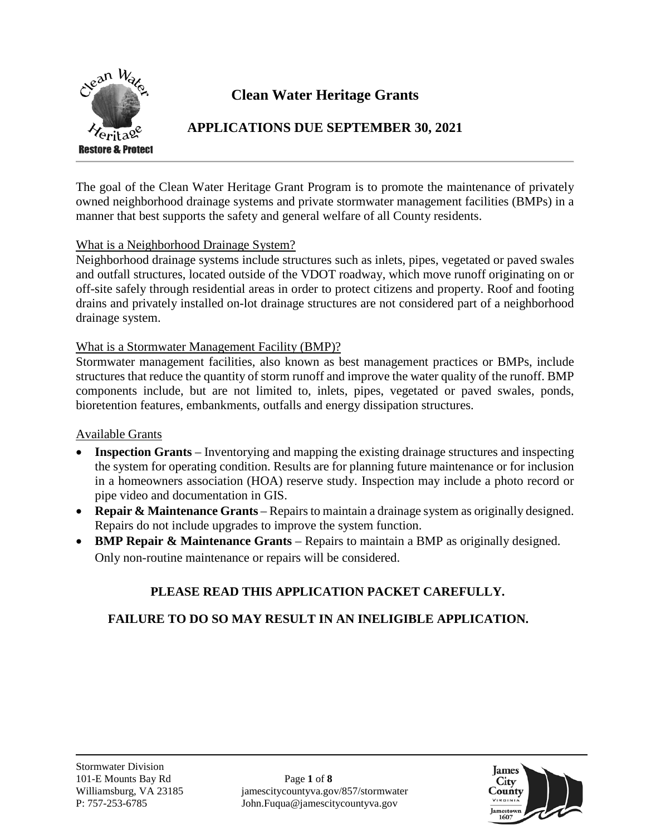

## **Clean Water Heritage Grants**

### **APPLICATIONS DUE SEPTEMBER 30, 2021**

The goal of the Clean Water Heritage Grant Program is to promote the maintenance of privately owned neighborhood drainage systems and private stormwater management facilities (BMPs) in a manner that best supports the safety and general welfare of all County residents.

#### What is a Neighborhood Drainage System?

Neighborhood drainage systems include structures such as inlets, pipes, vegetated or paved swales and outfall structures, located outside of the VDOT roadway, which move runoff originating on or off-site safely through residential areas in order to protect citizens and property. Roof and footing drains and privately installed on-lot drainage structures are not considered part of a neighborhood drainage system.

#### What is a Stormwater Management Facility (BMP)?

Stormwater management facilities, also known as best management practices or BMPs, include structures that reduce the quantity of storm runoff and improve the water quality of the runoff. BMP components include, but are not limited to, inlets, pipes, vegetated or paved swales, ponds, bioretention features, embankments, outfalls and energy dissipation structures.

#### Available Grants

- **Inspection Grants** Inventorying and mapping the existing drainage structures and inspecting the system for operating condition. Results are for planning future maintenance or for inclusion in a homeowners association (HOA) reserve study. Inspection may include a photo record or pipe video and documentation in GIS.
- **Repair & Maintenance Grants** Repairs to maintain a drainage system as originally designed. Repairs do not include upgrades to improve the system function.
- **BMP Repair & Maintenance Grants** Repairs to maintain a BMP as originally designed. Only non-routine maintenance or repairs will be considered.

## **PLEASE READ THIS APPLICATION PACKET CAREFULLY.**

## **FAILURE TO DO SO MAY RESULT IN AN INELIGIBLE APPLICATION.**

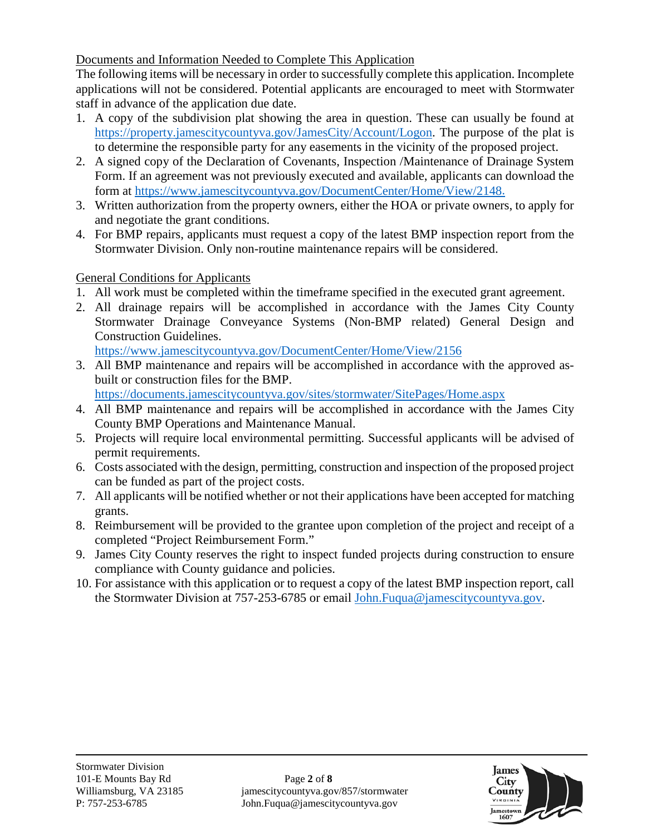Documents and Information Needed to Complete This Application

The following items will be necessary in order to successfully complete this application. Incomplete applications will not be considered. Potential applicants are encouraged to meet with Stormwater staff in advance of the application due date.

- 1. A copy of the subdivision plat showing the area in question. These can usually be found at [https://property.jamescitycountyva.gov/JamesCity/Account/Logon.](https://property.jamescitycountyva.gov/JamesCity/Account/Logon) The purpose of the plat is to determine the responsible party for any easements in the vicinity of the proposed project.
- 2. A signed copy of the Declaration of Covenants, Inspection /Maintenance of Drainage System Form. If an agreement was not previously executed and available, applicants can download the form at [https://www.jamescitycountyva.gov/DocumentCenter/Home/View/2148.](https://www.jamescitycountyva.gov/DocumentCenter/Home/View/2148)
- 3. Written authorization from the property owners, either the HOA or private owners, to apply for and negotiate the grant conditions.
- 4. For BMP repairs, applicants must request a copy of the latest BMP inspection report from the Stormwater Division. Only non-routine maintenance repairs will be considered.

General Conditions for Applicants

- 1. All work must be completed within the timeframe specified in the executed grant agreement.
- 2. All drainage repairs will be accomplished in accordance with the James City County Stormwater Drainage Conveyance Systems (Non-BMP related) General Design and Construction Guidelines.

<https://www.jamescitycountyva.gov/DocumentCenter/Home/View/2156>

3. All BMP maintenance and repairs will be accomplished in accordance with the approved asbuilt or construction files for the BMP.

<https://documents.jamescitycountyva.gov/sites/stormwater/SitePages/Home.aspx>

- 4. All BMP maintenance and repairs will be accomplished in accordance with the James City County BMP Operations and Maintenance Manual.
- 5. Projects will require local environmental permitting. Successful applicants will be advised of permit requirements.
- 6. Costs associated with the design, permitting, construction and inspection of the proposed project can be funded as part of the project costs.
- 7. All applicants will be notified whether or not their applications have been accepted for matching grants.
- 8. Reimbursement will be provided to the grantee upon completion of the project and receipt of a completed "Project Reimbursement Form."
- 9. James City County reserves the right to inspect funded projects during construction to ensure compliance with County guidance and policies.
- 10. For assistance with this application or to request a copy of the latest BMP inspection report, call the Stormwater Division at 757-253-6785 or email [John.Fuqua@jamescitycountyva.gov.](mailto:John.Fuqua@jamescitycountyva.gov)

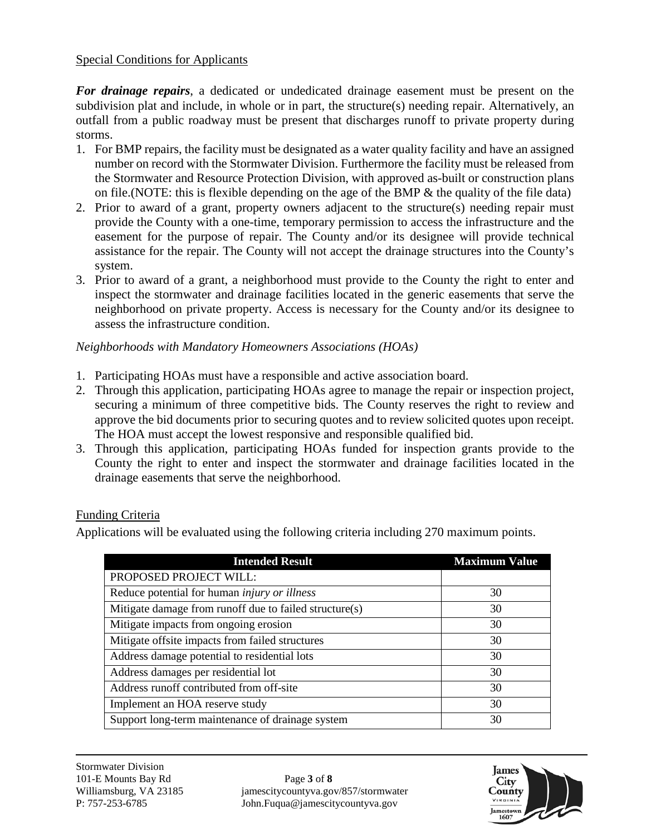#### Special Conditions for Applicants

*For drainage repairs*, a dedicated or undedicated drainage easement must be present on the subdivision plat and include, in whole or in part, the structure(s) needing repair. Alternatively, an outfall from a public roadway must be present that discharges runoff to private property during storms.

- 1. For BMP repairs, the facility must be designated as a water quality facility and have an assigned number on record with the Stormwater Division. Furthermore the facility must be released from the Stormwater and Resource Protection Division, with approved as-built or construction plans on file. (NOTE: this is flexible depending on the age of the BMP  $\&$  the quality of the file data)
- 2. Prior to award of a grant, property owners adjacent to the structure(s) needing repair must provide the County with a one-time, temporary permission to access the infrastructure and the easement for the purpose of repair. The County and/or its designee will provide technical assistance for the repair. The County will not accept the drainage structures into the County's system.
- 3. Prior to award of a grant, a neighborhood must provide to the County the right to enter and inspect the stormwater and drainage facilities located in the generic easements that serve the neighborhood on private property. Access is necessary for the County and/or its designee to assess the infrastructure condition.

#### *Neighborhoods with Mandatory Homeowners Associations (HOAs)*

- 1. Participating HOAs must have a responsible and active association board.
- 2. Through this application, participating HOAs agree to manage the repair or inspection project, securing a minimum of three competitive bids. The County reserves the right to review and approve the bid documents prior to securing quotes and to review solicited quotes upon receipt. The HOA must accept the lowest responsive and responsible qualified bid.
- 3. Through this application, participating HOAs funded for inspection grants provide to the County the right to enter and inspect the stormwater and drainage facilities located in the drainage easements that serve the neighborhood.

#### Funding Criteria

Applications will be evaluated using the following criteria including 270 maximum points.

| <b>Intended Result</b>                                 | <b>Maximum Value</b> |
|--------------------------------------------------------|----------------------|
| PROPOSED PROJECT WILL:                                 |                      |
| Reduce potential for human <i>injury or illness</i>    | 30                   |
| Mitigate damage from runoff due to failed structure(s) | 30                   |
| Mitigate impacts from ongoing erosion                  | 30                   |
| Mitigate offsite impacts from failed structures        | 30                   |
| Address damage potential to residential lots           | 30                   |
| Address damages per residential lot                    | 30                   |
| Address runoff contributed from off-site               | 30                   |
| Implement an HOA reserve study                         | 30                   |
| Support long-term maintenance of drainage system       | 30                   |

Williamsburg, VA 23185 jamescitycountyva.gov/857/stormwater P: 757-253-6785 John.Fuqua@jamescitycountyva.gov

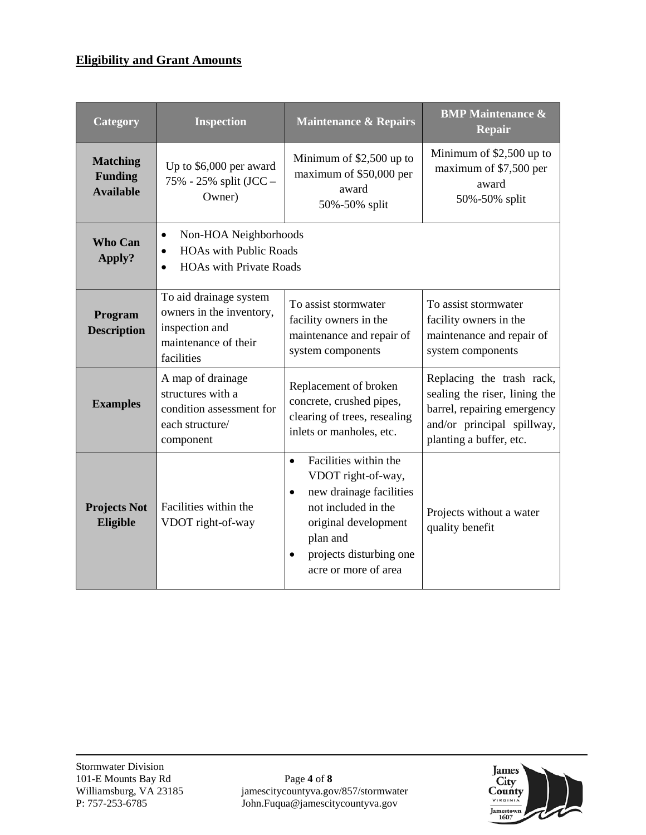## **Eligibility and Grant Amounts**

| <b>Category</b>                                       | <b>Inspection</b>                                                                                                               | <b>Maintenance &amp; Repairs</b>                                                                                                                                                                                            | <b>BMP</b> Maintenance &<br><b>Repair</b>                                                                                                          |
|-------------------------------------------------------|---------------------------------------------------------------------------------------------------------------------------------|-----------------------------------------------------------------------------------------------------------------------------------------------------------------------------------------------------------------------------|----------------------------------------------------------------------------------------------------------------------------------------------------|
| <b>Matching</b><br><b>Funding</b><br><b>Available</b> | Up to \$6,000 per award<br>75% - 25% split (JCC –<br>Owner)                                                                     | Minimum of \$2,500 up to<br>maximum of \$50,000 per<br>award<br>50%-50% split                                                                                                                                               | Minimum of \$2,500 up to<br>maximum of \$7,500 per<br>award<br>50%-50% split                                                                       |
| <b>Who Can</b><br>Apply?                              | Non-HOA Neighborhoods<br>$\bullet$<br><b>HOAs with Public Roads</b><br>$\bullet$<br><b>HOAs with Private Roads</b><br>$\bullet$ |                                                                                                                                                                                                                             |                                                                                                                                                    |
| Program<br><b>Description</b>                         | To aid drainage system<br>owners in the inventory,<br>inspection and<br>maintenance of their<br>facilities                      | To assist stormwater<br>facility owners in the<br>maintenance and repair of<br>system components                                                                                                                            | To assist stormwater<br>facility owners in the<br>maintenance and repair of<br>system components                                                   |
| <b>Examples</b>                                       | A map of drainage<br>structures with a<br>condition assessment for<br>each structure/<br>component                              | Replacement of broken<br>concrete, crushed pipes,<br>clearing of trees, resealing<br>inlets or manholes, etc.                                                                                                               | Replacing the trash rack,<br>sealing the riser, lining the<br>barrel, repairing emergency<br>and/or principal spillway,<br>planting a buffer, etc. |
| <b>Projects Not</b><br>Eligible                       | Facilities within the<br>VDOT right-of-way                                                                                      | Facilities within the<br>$\bullet$<br>VDOT right-of-way,<br>new drainage facilities<br>$\bullet$<br>not included in the<br>original development<br>plan and<br>projects disturbing one<br>$\bullet$<br>acre or more of area | Projects without a water<br>quality benefit                                                                                                        |

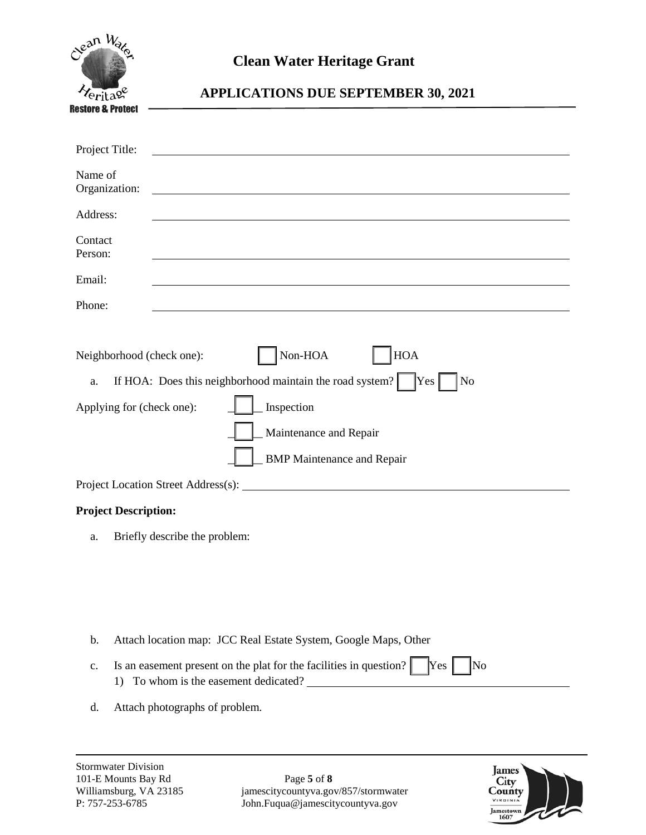| Clean Way                                                    | <b>Clean Water Heritage Grant</b>                                                                                                                                                                                                                  |
|--------------------------------------------------------------|----------------------------------------------------------------------------------------------------------------------------------------------------------------------------------------------------------------------------------------------------|
| ritage                                                       | <b>APPLICATIONS DUE SEPTEMBER 30, 2021</b>                                                                                                                                                                                                         |
| Restore & Protect                                            |                                                                                                                                                                                                                                                    |
| Project Title:                                               |                                                                                                                                                                                                                                                    |
| Name of<br>Organization:                                     |                                                                                                                                                                                                                                                    |
| Address:                                                     |                                                                                                                                                                                                                                                    |
| Contact<br>Person:                                           |                                                                                                                                                                                                                                                    |
| Email:                                                       |                                                                                                                                                                                                                                                    |
| Phone:                                                       |                                                                                                                                                                                                                                                    |
| Neighborhood (check one):<br>a.<br>Applying for (check one): | $\mbox{Non-HOA}$<br><b>HOA</b><br>If HOA: Does this neighborhood maintain the road system? $\begin{bmatrix} \text{Yes} \\ \text{Yes} \end{bmatrix}$<br>N <sub>o</sub><br>Inspection<br>Maintenance and Repair<br><b>BMP</b> Maintenance and Repair |
|                                                              |                                                                                                                                                                                                                                                    |
| <b>Project Description:</b><br>a.                            | Briefly describe the problem:                                                                                                                                                                                                                      |
| b.<br>$\mathbf{c}$ .                                         | Attach location map: JCC Real Estate System, Google Maps, Other<br>Is an easement present on the plat for the facilities in question?<br>Yes<br>No                                                                                                 |

d. Attach photographs of problem.

1) To whom is the easement dedicated?

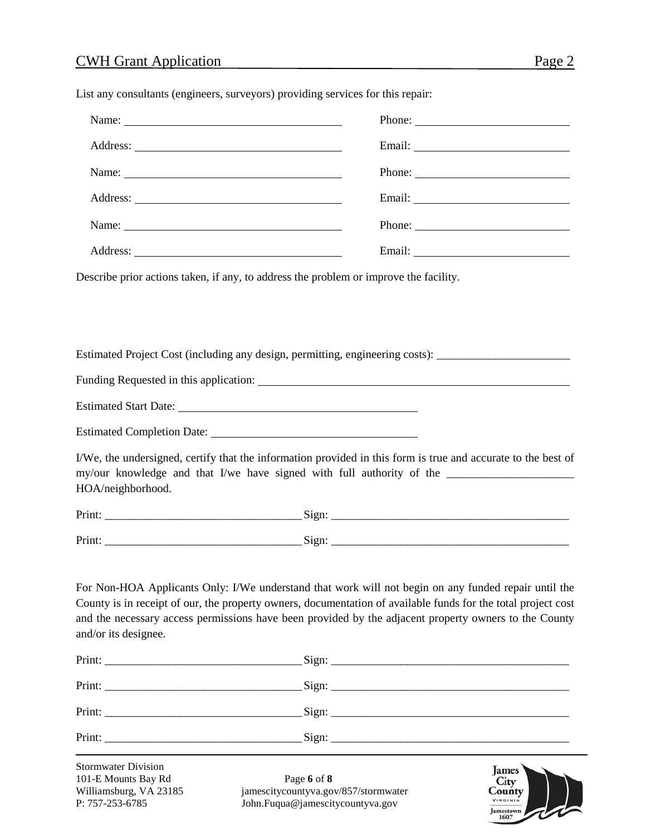| List any consultants (engineers, surveyors) providing services for this repair: |  |
|---------------------------------------------------------------------------------|--|
|---------------------------------------------------------------------------------|--|

| Name:                                                                                          |                                                                                                                                                                                                                                                                                                                                |
|------------------------------------------------------------------------------------------------|--------------------------------------------------------------------------------------------------------------------------------------------------------------------------------------------------------------------------------------------------------------------------------------------------------------------------------|
|                                                                                                |                                                                                                                                                                                                                                                                                                                                |
|                                                                                                |                                                                                                                                                                                                                                                                                                                                |
|                                                                                                |                                                                                                                                                                                                                                                                                                                                |
| Describe prior actions taken, if any, to address the problem or improve the facility.          |                                                                                                                                                                                                                                                                                                                                |
|                                                                                                |                                                                                                                                                                                                                                                                                                                                |
|                                                                                                |                                                                                                                                                                                                                                                                                                                                |
|                                                                                                | Estimated Project Cost (including any design, permitting, engineering costs): _____________________                                                                                                                                                                                                                            |
|                                                                                                |                                                                                                                                                                                                                                                                                                                                |
|                                                                                                |                                                                                                                                                                                                                                                                                                                                |
|                                                                                                |                                                                                                                                                                                                                                                                                                                                |
| HOA/neighborhood.                                                                              | I/We, the undersigned, certify that the information provided in this form is true and accurate to the best of                                                                                                                                                                                                                  |
|                                                                                                |                                                                                                                                                                                                                                                                                                                                |
|                                                                                                |                                                                                                                                                                                                                                                                                                                                |
|                                                                                                |                                                                                                                                                                                                                                                                                                                                |
| and/or its designee.                                                                           | For Non-HOA Applicants Only: I/We understand that work will not begin on any funded repair until the<br>County is in receipt of our, the property owners, documentation of available funds for the total project cost<br>and the necessary access permissions have been provided by the adjacent property owners to the County |
|                                                                                                |                                                                                                                                                                                                                                                                                                                                |
|                                                                                                |                                                                                                                                                                                                                                                                                                                                |
|                                                                                                |                                                                                                                                                                                                                                                                                                                                |
|                                                                                                |                                                                                                                                                                                                                                                                                                                                |
| <b>Stormwater Division</b><br>101-E Mounts Bay Rd<br>Williamsburg, VA 23185<br>P: 757-253-6785 | <b>James</b><br>Page 6 of 8<br>City<br>jamescitycountyva.gov/857/stormwater<br>County<br>VIRGINIA<br>John.Fuqua@jamescitycountyva.gov<br>Jamestown<br>1607                                                                                                                                                                     |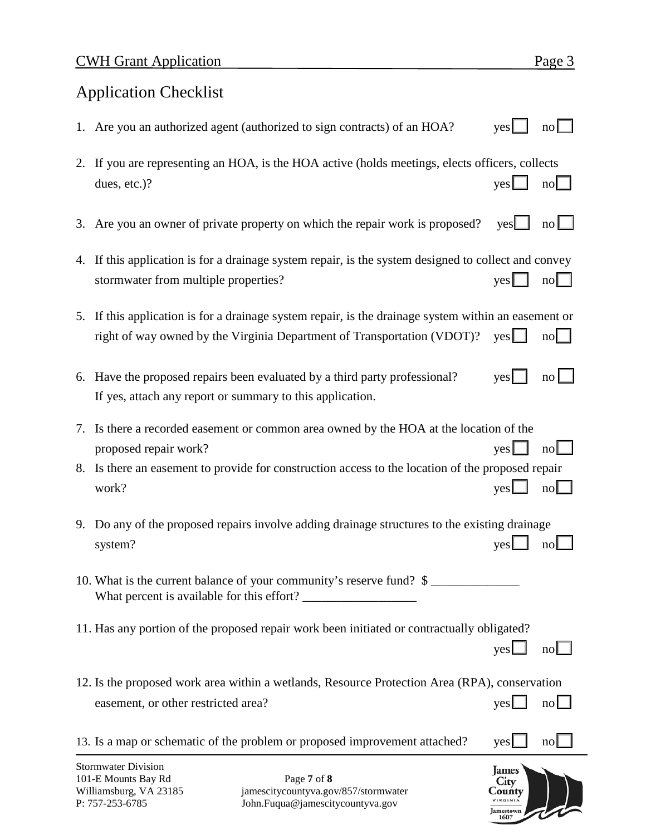# Application Checklist

- 1. Are you an authorized agent (authorized to sign contracts) of an HOA? yes $\Box$  no  $\Box$
- 2. If you are representing an HOA, is the HOA active (holds meetings, elects officers, collects dues, etc.)? yes □ no □
- 3. Are you an owner of private property on which the repair work is proposed? yes  $\Box$  no  $\Box$
- 4. If this application is for a drainage system repair, is the system designed to collect and convey stormwater from multiple properties? yes □ no
- 5. If this application is for a drainage system repair, is the drainage system within an easement or right of way owned by the Virginia Department of Transportation (VDOT)? yes  $\Box$  no  $\Box$
- 6. Have the proposed repairs been evaluated by a third party professional? yes  $\Box$  no  $\Box$ If yes, attach any report or summary to this application.
- 7. Is there a recorded easement or common area owned by the HOA at the location of the proposed repair work? yes □ no □
- 8. Is there an easement to provide for construction access to the location of the proposed repair work? yes□ no
- 9. Do any of the proposed repairs involve adding drainage structures to the existing drainage system? yes □ no □

10. What is the current balance of your community's reserve fund?  $\frac{1}{2}$ What percent is available for this effort?

- 11. Has any portion of the proposed repair work been initiated or contractually obligated?
- 12. Is the proposed work area within a wetlands, Resource Protection Area (RPA), conservation easement, or other restricted area? yes □ no □ yes □ no

| 13. Is a map or schematic of the problem or proposed improvement attached? $yes$ no $\Box$ |  |  |
|--------------------------------------------------------------------------------------------|--|--|
|--------------------------------------------------------------------------------------------|--|--|



 $\mathsf{yes} \Box \quad \mathsf{no} \Box$